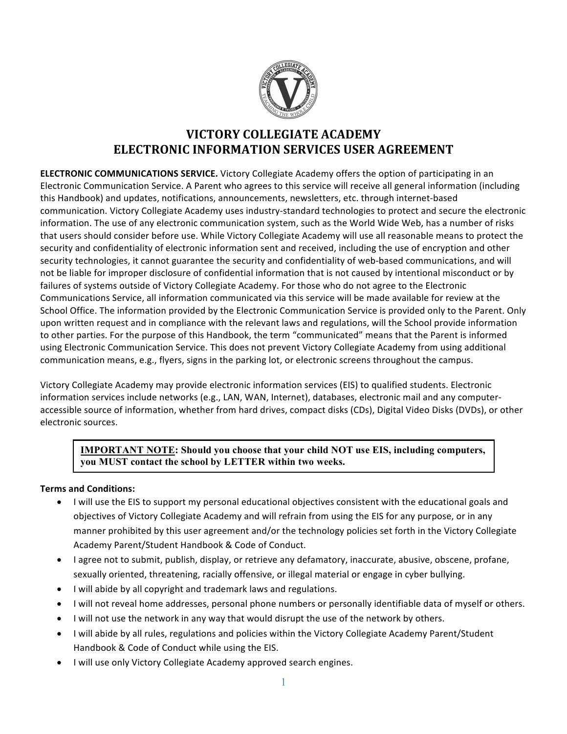

## **VICTORY COLLEGIATE ACADEMY ELECTRONIC INFORMATION SERVICES USER AGREEMENT**

**ELECTRONIC COMMUNICATIONS SERVICE.** Victory Collegiate Academy offers the option of participating in an Electronic Communication Service. A Parent who agrees to this service will receive all general information (including this Handbook) and updates, notifications, announcements, newsletters, etc. through internet-based communication. Victory Collegiate Academy uses industry-standard technologies to protect and secure the electronic information. The use of any electronic communication system, such as the World Wide Web, has a number of risks that users should consider before use. While Victory Collegiate Academy will use all reasonable means to protect the security and confidentiality of electronic information sent and received, including the use of encryption and other security technologies, it cannot guarantee the security and confidentiality of web-based communications, and will not be liable for improper disclosure of confidential information that is not caused by intentional misconduct or by failures of systems outside of Victory Collegiate Academy. For those who do not agree to the Electronic Communications Service, all information communicated via this service will be made available for review at the School Office. The information provided by the Electronic Communication Service is provided only to the Parent. Only upon written request and in compliance with the relevant laws and regulations, will the School provide information to other parties. For the purpose of this Handbook, the term "communicated" means that the Parent is informed using Electronic Communication Service. This does not prevent Victory Collegiate Academy from using additional communication means, e.g., flyers, signs in the parking lot, or electronic screens throughout the campus.

Victory Collegiate Academy may provide electronic information services (EIS) to qualified students. Electronic information services include networks (e.g., LAN, WAN, Internet), databases, electronic mail and any computeraccessible source of information, whether from hard drives, compact disks (CDs), Digital Video Disks (DVDs), or other electronic sources.

## **IMPORTANT NOTE: Should you choose that your child NOT use EIS, including computers, you MUST contact the school by LETTER within two weeks.**

## **Terms and Conditions:**

- I will use the EIS to support my personal educational objectives consistent with the educational goals and objectives of Victory Collegiate Academy and will refrain from using the EIS for any purpose, or in any manner prohibited by this user agreement and/or the technology policies set forth in the Victory Collegiate Academy Parent/Student Handbook & Code of Conduct.
- I agree not to submit, publish, display, or retrieve any defamatory, inaccurate, abusive, obscene, profane, sexually oriented, threatening, racially offensive, or illegal material or engage in cyber bullying.
- I will abide by all copyright and trademark laws and regulations.
- I will not reveal home addresses, personal phone numbers or personally identifiable data of myself or others.
- I will not use the network in any way that would disrupt the use of the network by others.
- I will abide by all rules, regulations and policies within the Victory Collegiate Academy Parent/Student Handbook & Code of Conduct while using the EIS.
- I will use only Victory Collegiate Academy approved search engines.